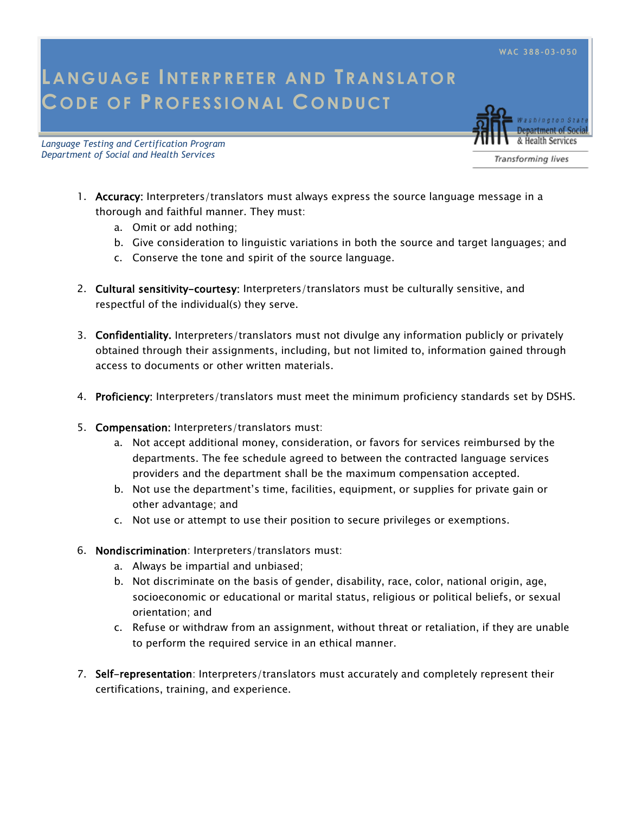**WAC 388-03-050**

## LANGUAGE INTERPRETER AND **TRANSLATOR COD E OF PR OFE S SI O NAL CO ND UCT**

*Language Testing and Certification Program Department of Social and Health Services* 



Transforming lives

- 1. Accuracy: Interpreters/translators must always express the source language message in a thorough and faithful manner. They must:
	- a. Omit or add nothing;
	- b. Give consideration to linguistic variations in both the source and target languages; and
	- c. Conserve the tone and spirit of the source language.
- 2. Cultural sensitivity-courtesy: Interpreters/translators must be culturally sensitive, and respectful of the individual(s) they serve.
- 3. Confidentiality. Interpreters/translators must not divulge any information publicly or privately obtained through their assignments, including, but not limited to, information gained through access to documents or other written materials.
- 4. Proficiency: Interpreters/translators must meet the minimum proficiency standards set by DSHS.
- 5. Compensation: Interpreters/translators must:
	- a. Not accept additional money, consideration, or favors for services reimbursed by the departments. The fee schedule agreed to between the contracted language services providers and the department shall be the maximum compensation accepted.
	- b. Not use the department's time, facilities, equipment, or supplies for private gain or other advantage; and
	- c. Not use or attempt to use their position to secure privileges or exemptions.
- 6. Nondiscrimination: Interpreters/translators must:
	- a. Always be impartial and unbiased;
	- b. Not discriminate on the basis of gender, disability, race, color, national origin, age, socioeconomic or educational or marital status, religious or political beliefs, or sexual orientation; and
	- c. Refuse or withdraw from an assignment, without threat or retaliation, if they are unable to perform the required service in an ethical manner.
- 7. Self-representation: Interpreters/translators must accurately and completely represent their certifications, training, and experience.